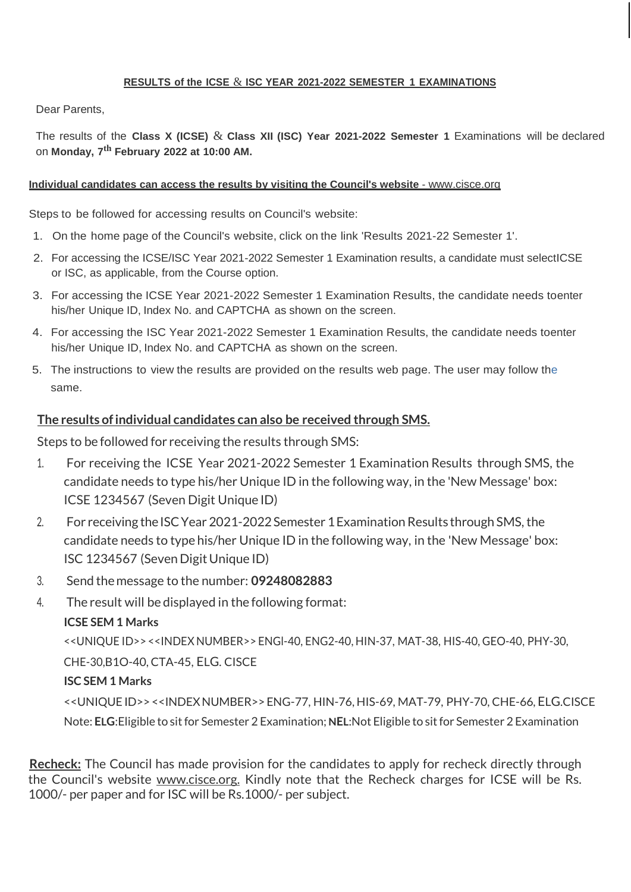#### **RESULTS of the ICSE** & **ISC YEAR 2021-2022 SEMESTER 1 EXAMINATIONS**

Dear Parents,

The results of the **Class X (ICSE)** & **Class XII (ISC) Year 2021-2022 Semester 1** Examinations will be declared on **Monday, 7 th February 2022 at 10:00 AM.**

#### **Individual candidates can access the results by visiting the Council's website** - [www.cisce.org](http://www.cisce.org/)

Steps to be followed for accessing results on Council's website:

- 1. On the home page of the Council's website, click on the link 'Results 2021-22 Semester 1'.
- 2. For accessing the ICSE/ISC Year 2021-2022 Semester 1 Examination results, a candidate must selectICSE or ISC, as applicable, from the Course option.
- 3. For accessing the ICSE Year 2021-2022 Semester 1 Examination Results, the candidate needs toenter his/her Unique ID, Index No. and CAPTCHA as shown on the screen.
- 4. For accessing the ISC Year 2021-2022 Semester 1 Examination Results, the candidate needs toenter his/her Unique ID, Index No. and CAPTCHA as shown on the screen.
- 5. The instructions to view the results are provided on the results web page. The user may follow the same.

#### **The results ofindividual candidates can also be received through SMS.**

Steps to be followed for receiving the results through SMS:

- 1. For receiving the ICSE Year 2021-2022 Semester 1 Examination Results through SMS, the candidate needs to type his/her Unique ID in the following way, in the 'New Message' box: ICSE 1234567 (Seven Digit Unique ID)
- 2. For receiving the ISC Year 2021-2022 Semester 1 Examination Results through SMS, the candidate needs to type his/her Unique ID in the following way, in the 'New Message' box: ISC 1234567 (Seven Digit Unique ID)
- 3. Send themessage to the number: **09248082883**
- 4. The result will be displayed in the following format:

## **ICSE SEM 1 Marks**

<<UNIQUE ID>> <<INDEX NUMBER>> ENGl-40, ENG2-40, HIN-37, MAT-38, HIS-40, GEO-40, PHY-30,

CHE-30,B1O-40, CTA-45, ELG. CISCE

## **ISC SEM 1 Marks**

<<UNIQUE ID>><<INDEXNUMBER>> ENG-77, HIN-76, HIS-69, MAT-79, PHY-70, CHE-66, ELG.CISCE Note: **ELG**:Eligible to sitfor Semester 2 Examination; **NEL**:Not Eligible to sitfor Semester 2 Examination

**Recheck:** The Council has made provision for the candidates to apply for recheck directly through the Council's website [www.cisce.org.](http://www.cisce.org/) Kindly note that the Recheck charges for ICSE will be Rs. 1000/- per paper and for ISC will be Rs.1000/- per subject.